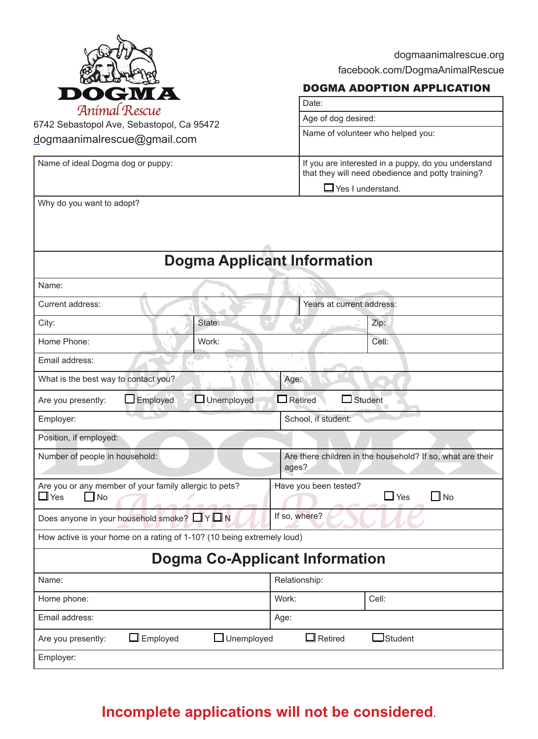

dogmaanimalrescue.org facebook.com/DogmaAnimalRescue

#### DOGMA ADOPTION APPLICATION

| Date:                                                                                                    |  |  |  |  |
|----------------------------------------------------------------------------------------------------------|--|--|--|--|
| Age of dog desired:                                                                                      |  |  |  |  |
| Name of volunteer who helped you:                                                                        |  |  |  |  |
| If you are interested in a puppy, do you understand<br>that they will need obedience and potty training? |  |  |  |  |
| $\Box$ Yes I understand.                                                                                 |  |  |  |  |

6742 Sebastopol Ave, Sebastopol, Ca 95472 dogmaanimalrescue@gmail.com

Name of ideal Dogma dog or puppy:

| Why do you want to adopt? |  |  |
|---------------------------|--|--|

# **Dogma Applicant Information**

| Name:                                                                                               |        |                                                                     |       |  |  |  |  |
|-----------------------------------------------------------------------------------------------------|--------|---------------------------------------------------------------------|-------|--|--|--|--|
| Current address:                                                                                    |        | Years at current address:                                           |       |  |  |  |  |
| City:                                                                                               | State: |                                                                     | Zip:  |  |  |  |  |
| Home Phone:                                                                                         | Work:  |                                                                     | Cell: |  |  |  |  |
| Email address:                                                                                      |        |                                                                     |       |  |  |  |  |
| What is the best way to contact you?                                                                |        | Age:                                                                |       |  |  |  |  |
| $\Box$ Unemployed<br>$\Box$ Retired<br>$\Box$ Student<br>$\Box$ Employed<br>Are you presently:      |        |                                                                     |       |  |  |  |  |
| Employer:                                                                                           |        | School, if student:                                                 |       |  |  |  |  |
| Position, if employed:                                                                              |        |                                                                     |       |  |  |  |  |
| Number of people in household:                                                                      |        | Are there children in the household? If so, what are their<br>ages? |       |  |  |  |  |
| Are you or any member of your family allergic to pets?<br>$\Box$ Yes<br>$\Box$ No                   |        | Have you been tested?<br>$\Box$ Yes<br>$\Box$ No                    |       |  |  |  |  |
| If so, where?<br>Does anyone in your household smoke? $\Box Y \Box N$                               |        |                                                                     |       |  |  |  |  |
| How active is your home on a rating of 1-10? (10 being extremely loud)                              |        |                                                                     |       |  |  |  |  |
| <b>Dogma Co-Applicant Information</b>                                                               |        |                                                                     |       |  |  |  |  |
| Name:                                                                                               |        | Relationship:                                                       |       |  |  |  |  |
| Home phone:                                                                                         |        | Work:                                                               | Cell: |  |  |  |  |
| Email address:                                                                                      |        | Age:                                                                |       |  |  |  |  |
| $\Box$ Employed<br>${\bf J}$ Retired<br><b>I</b> Student<br>$\Box$ Unemployed<br>Are you presently: |        |                                                                     |       |  |  |  |  |
| Employer:                                                                                           |        |                                                                     |       |  |  |  |  |
|                                                                                                     |        |                                                                     |       |  |  |  |  |
|                                                                                                     |        |                                                                     |       |  |  |  |  |

# **Incomplete applications will not be considered**.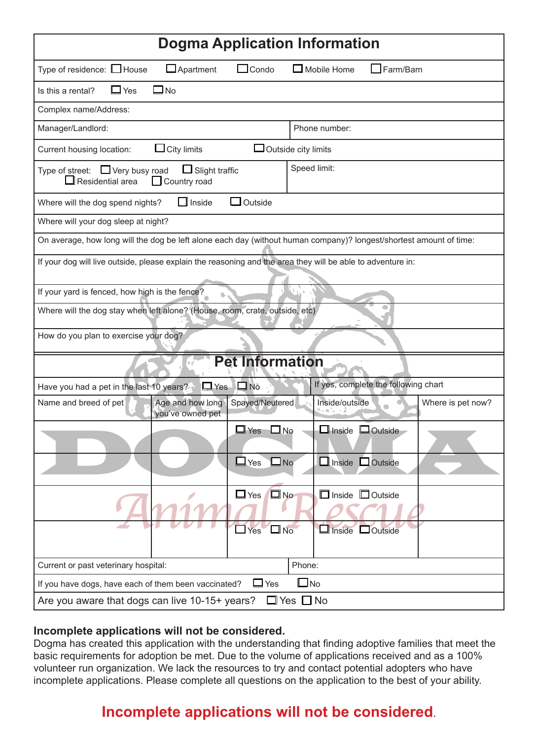| <b>Dogma Application Information</b>                                                                                      |  |  |  |  |  |  |
|---------------------------------------------------------------------------------------------------------------------------|--|--|--|--|--|--|
| Type of residence: □ House<br>$\Box$ Apartment<br>$\Box$ Condo<br>$\Box$ Mobile Home<br>$\Box$ Farm/Barn                  |  |  |  |  |  |  |
| $\Box$ Yes<br>⊐No<br>Is this a rental?                                                                                    |  |  |  |  |  |  |
| Complex name/Address:                                                                                                     |  |  |  |  |  |  |
| Manager/Landlord:<br>Phone number:                                                                                        |  |  |  |  |  |  |
| $\mathsf{J}$ City limits<br>$\Box$ Outside city limits<br>Current housing location:                                       |  |  |  |  |  |  |
| Speed limit:<br>Type of street: $\Box$ Very busy road<br>$\Box$ Slight traffic<br>Residential area<br>$\Box$ Country road |  |  |  |  |  |  |
| Outside<br>Where will the dog spend nights?<br>$\Box$ Inside                                                              |  |  |  |  |  |  |
| Where will your dog sleep at night?                                                                                       |  |  |  |  |  |  |
| On average, how long will the dog be left alone each day (without human company)? longest/shortest amount of time:        |  |  |  |  |  |  |
| If your dog will live outside, please explain the reasoning and the area they will be able to adventure in:               |  |  |  |  |  |  |
| If your yard is fenced, how high is the fence?                                                                            |  |  |  |  |  |  |
| Where will the dog stay when left alone? (House, room, crate, outside, etc)                                               |  |  |  |  |  |  |
| How do you plan to exercise your dog?                                                                                     |  |  |  |  |  |  |
| <b>Pet Information</b>                                                                                                    |  |  |  |  |  |  |
| If yes, complete the following chart<br>$\Box$ Yes $\Box$ No<br>Have you had a pet in the last 10 years?                  |  |  |  |  |  |  |
| Spayed/Neutered<br>Age and how long<br>Inside/outside<br>Name and breed of pet<br>Where is pet now?<br>you've owned pet   |  |  |  |  |  |  |
| $\Box$ Inside $\Box$ Outside<br>$\Box$ Yes<br>$\square$ No                                                                |  |  |  |  |  |  |
| $\Box$ Yes<br>$\square$ No<br>$\Box$ Inside $\Box$ Outside                                                                |  |  |  |  |  |  |
| $\square$ No<br>$\Box$ Yes<br>$\Box$ Inside $\Box$ Outside                                                                |  |  |  |  |  |  |
| $\Box$ No<br>$\Box$ Yes<br>$\Box$ Inside $\Box$ Outside                                                                   |  |  |  |  |  |  |
| Phone:<br>Current or past veterinary hospital:                                                                            |  |  |  |  |  |  |
| $\square$ No<br>$\Box$ Yes<br>If you have dogs, have each of them been vaccinated?                                        |  |  |  |  |  |  |
| $\Box$ Yes $\Box$ No<br>Are you aware that dogs can live 10-15+ years?                                                    |  |  |  |  |  |  |

#### **Incomplete applications will not be considered.**

Dogma has created this application with the understanding that finding adoptive families that meet the basic requirements for adoption be met. Due to the volume of applications received and as a 100% volunteer run organization. We lack the resources to try and contact potential adopters who have incomplete applications. Please complete all questions on the application to the best of your ability.

# **Incomplete applications will not be considered**.